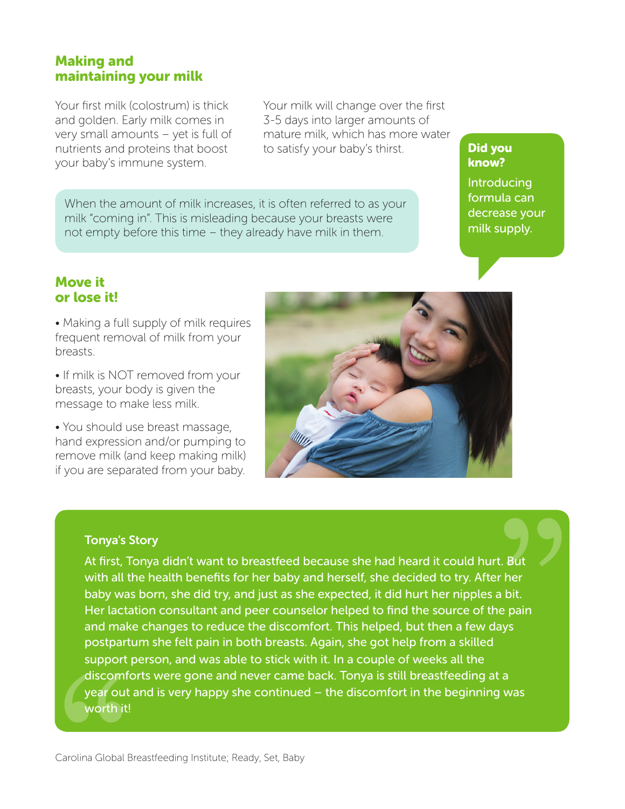## Making and maintaining your milk

Your first milk (colostrum) is thick and golden. Early milk comes in very small amounts – yet is full of nutrients and proteins that boost your baby's immune system.

Your milk will change over the first 3-5 days into larger amounts of mature milk, which has more water to satisfy your baby's thirst.

When the amount of milk increases, it is often referred to as your milk "coming in". This is misleading because your breasts were not empty before this time – they already have milk in them.

#### Did you know?

Introducing formula can decrease your milk supply.

## Move it or lose it!

• Making a full supply of milk requires frequent removal of milk from your breasts.

• If milk is NOT removed from your breasts, your body is given the message to make less milk.

• You should use breast massage, hand expression and/or pumping to remove milk (and keep making milk) if you are separated from your baby.



#### Tonya's Story

At first, Tonya didn't want to breastfeed because she had heard it could hurt. But with all the health benefits for her baby and herself, she decided to try. After her baby was born, she did try, and just as she expected, it did hurt her nipples a bit. Her lactation consultant and peer counselor helped to find the source of the pain and make changes to reduce the discomfort. This helped, but then a few days postpartum she felt pain in both breasts. Again, she got help from a skilled support person, and was able to stick with it. In a couple of weeks all the discomforts were gone and never came back. Tonya is still breastfeeding at a year out and is very happy she continued – the discomfort in the beginning was worth it!